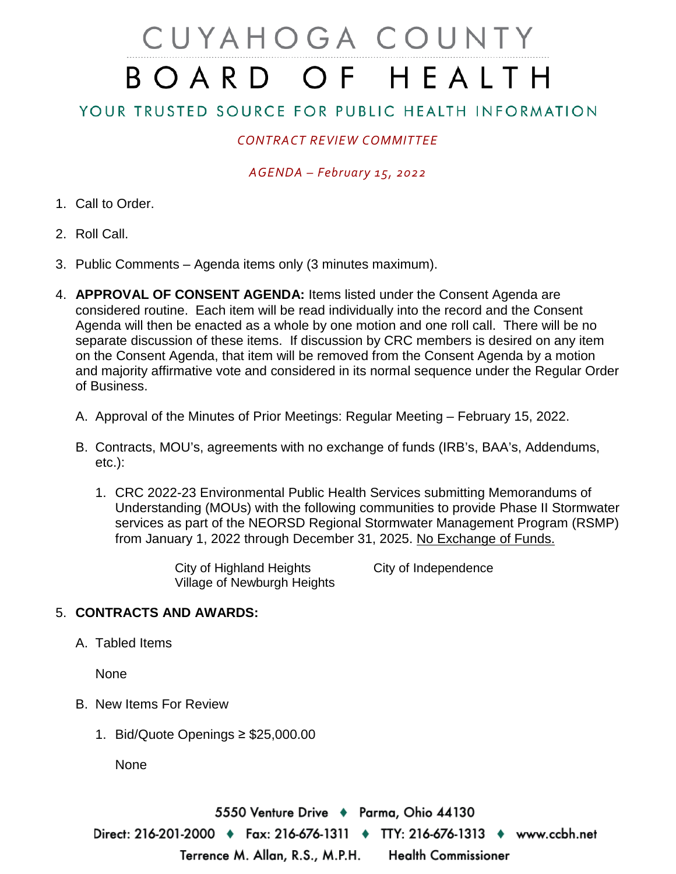# CUYAHOGA COUNTY BOARD OF HEALTH

## YOUR TRUSTED SOURCE FOR PUBLIC HEALTH INFORMATION

## *CONTRACT REVIEW COMMITTEE*

### *AGENDA – February 15, 2022*

- 1. Call to Order.
- 2. Roll Call.
- 3. Public Comments Agenda items only (3 minutes maximum).
- 4. **APPROVAL OF CONSENT AGENDA:** Items listed under the Consent Agenda are considered routine. Each item will be read individually into the record and the Consent Agenda will then be enacted as a whole by one motion and one roll call. There will be no separate discussion of these items. If discussion by CRC members is desired on any item on the Consent Agenda, that item will be removed from the Consent Agenda by a motion and majority affirmative vote and considered in its normal sequence under the Regular Order of Business.
	- A. Approval of the Minutes of Prior Meetings: Regular Meeting February 15, 2022.
	- B. Contracts, MOU's, agreements with no exchange of funds (IRB's, BAA's, Addendums, etc.):
		- 1. CRC 2022-23 Environmental Public Health Services submitting Memorandums of Understanding (MOUs) with the following communities to provide Phase II Stormwater services as part of the NEORSD Regional Stormwater Management Program (RSMP) from January 1, 2022 through December 31, 2025. No Exchange of Funds.

City of Highland Heights City of Independence Village of Newburgh Heights

#### 5. **CONTRACTS AND AWARDS:**

A. Tabled Items

None

- B. New Items For Review
	- 1. Bid/Quote Openings ≥ \$25,000.00

None

5550 Venture Drive → Parma, Ohio 44130 Direct: 216-201-2000 ♦ Fax: 216-676-1311 ♦ TTY: 216-676-1313 ♦ www.ccbh.net Terrence M. Allan, R.S., M.P.H. **Health Commissioner**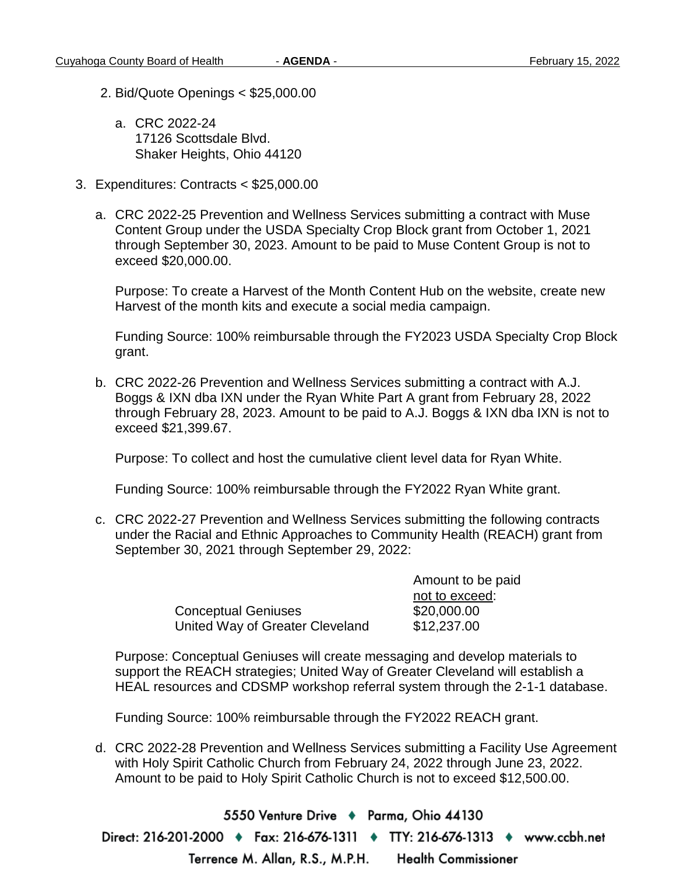- 2. Bid/Quote Openings < \$25,000.00
	- a. CRC 2022-24 17126 Scottsdale Blvd. Shaker Heights, Ohio 44120
- 3. Expenditures: Contracts < \$25,000.00
	- a. CRC 2022-25 Prevention and Wellness Services submitting a contract with Muse Content Group under the USDA Specialty Crop Block grant from October 1, 2021 through September 30, 2023. Amount to be paid to Muse Content Group is not to exceed \$20,000.00.

Purpose: To create a Harvest of the Month Content Hub on the website, create new Harvest of the month kits and execute a social media campaign.

Funding Source: 100% reimbursable through the FY2023 USDA Specialty Crop Block grant.

b. CRC 2022-26 Prevention and Wellness Services submitting a contract with A.J. Boggs & IXN dba IXN under the Ryan White Part A grant from February 28, 2022 through February 28, 2023. Amount to be paid to A.J. Boggs & IXN dba IXN is not to exceed \$21,399.67.

Purpose: To collect and host the cumulative client level data for Ryan White.

Funding Source: 100% reimbursable through the FY2022 Ryan White grant.

c. CRC 2022-27 Prevention and Wellness Services submitting the following contracts under the Racial and Ethnic Approaches to Community Health (REACH) grant from September 30, 2021 through September 29, 2022:

| <b>Conceptual Geniuses</b>      |  |
|---------------------------------|--|
| United Way of Greater Cleveland |  |

Amount to be paid not to exceed:  $$20,000.00$  $$12.237.00$ 

Purpose: Conceptual Geniuses will create messaging and develop materials to support the REACH strategies; United Way of Greater Cleveland will establish a HEAL resources and CDSMP workshop referral system through the 2-1-1 database.

Funding Source: 100% reimbursable through the FY2022 REACH grant.

d. CRC 2022-28 Prevention and Wellness Services submitting a Facility Use Agreement with Holy Spirit Catholic Church from February 24, 2022 through June 23, 2022. Amount to be paid to Holy Spirit Catholic Church is not to exceed \$12,500.00.

5550 Venture Drive → Parma, Ohio 44130 Direct: 216-201-2000 ♦ Fax: 216-676-1311 ♦ TTY: 216-676-1313 ♦ www.ccbh.net **Health Commissioner** Terrence M. Allan, R.S., M.P.H.